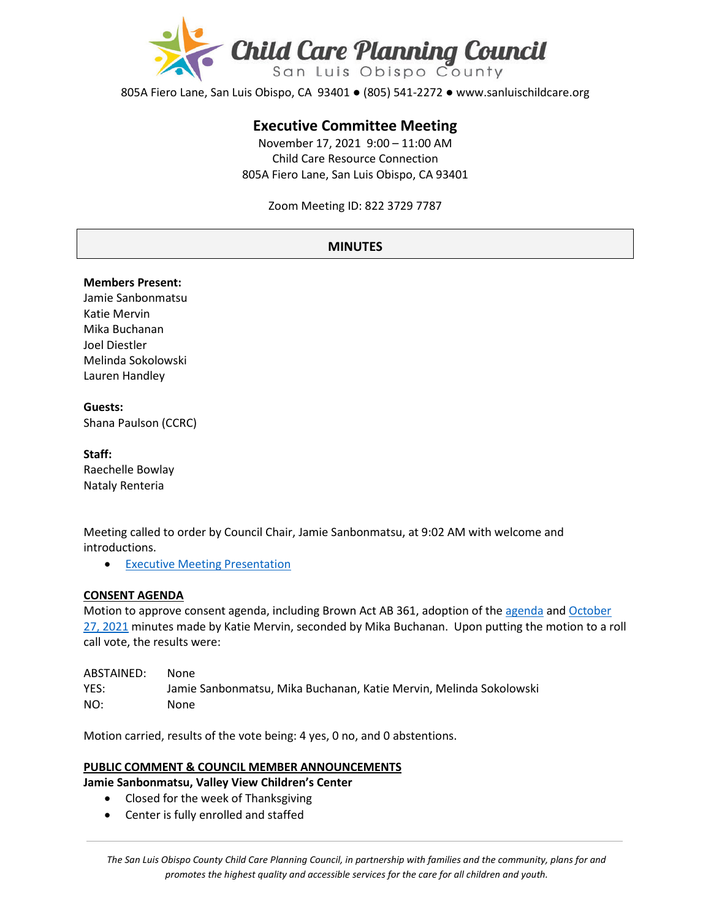

805A Fiero Lane, San Luis Obispo, CA 93401 ● (805) 541-2272 ● www.sanluischildcare.org

# **Executive Committee Meeting**

November 17, 2021 9:00 – 11:00 AM Child Care Resource Connection 805A Fiero Lane, San Luis Obispo, CA 93401

Zoom Meeting ID: 822 3729 7787

# **MINUTES**

#### **Members Present:**

Jamie Sanbonmatsu Katie Mervin Mika Buchanan Joel Diestler Melinda Sokolowski Lauren Handley

#### **Guests:**  Shana Paulson (CCRC)

**Staff:** Raechelle Bowlay Nataly Renteria

Meeting called to order by Council Chair, Jamie Sanbonmatsu, at 9:02 AM with welcome and introductions.

• [Executive Meeting Presentation](https://www.canva.com/design/DAEvRYDVix4/P0E-aNnODmsAPwxYMdVANg/view?utm_content=DAEvRYDVix4&utm_campaign=designshare&utm_medium=link&utm_source=publishsharelink)

#### **CONSENT AGENDA**

Motion to approve consent agenda, including Brown Act AB 361, adoption of th[e agenda](https://drive.google.com/file/d/17iRkippCMS7Gk8HmqwXgbu5IuVeSep51/view?usp=sharing) and October [27, 2021](https://drive.google.com/file/d/11Hlh4sRrNVS-_KLobeDuAJJ-HNgi4_9-/view?usp=sharing) minutes made by Katie Mervin, seconded by Mika Buchanan. Upon putting the motion to a roll call vote, the results were:

| ABSTAINED: | None                                                               |
|------------|--------------------------------------------------------------------|
| YES:       | Jamie Sanbonmatsu, Mika Buchanan, Katie Mervin, Melinda Sokolowski |
| NO:        | None                                                               |

Motion carried, results of the vote being: 4 yes, 0 no, and 0 abstentions.

# **PUBLIC COMMENT & COUNCIL MEMBER ANNOUNCEMENTS**

**Jamie Sanbonmatsu, Valley View Children's Center**

- Closed for the week of Thanksgiving
- Center is fully enrolled and staffed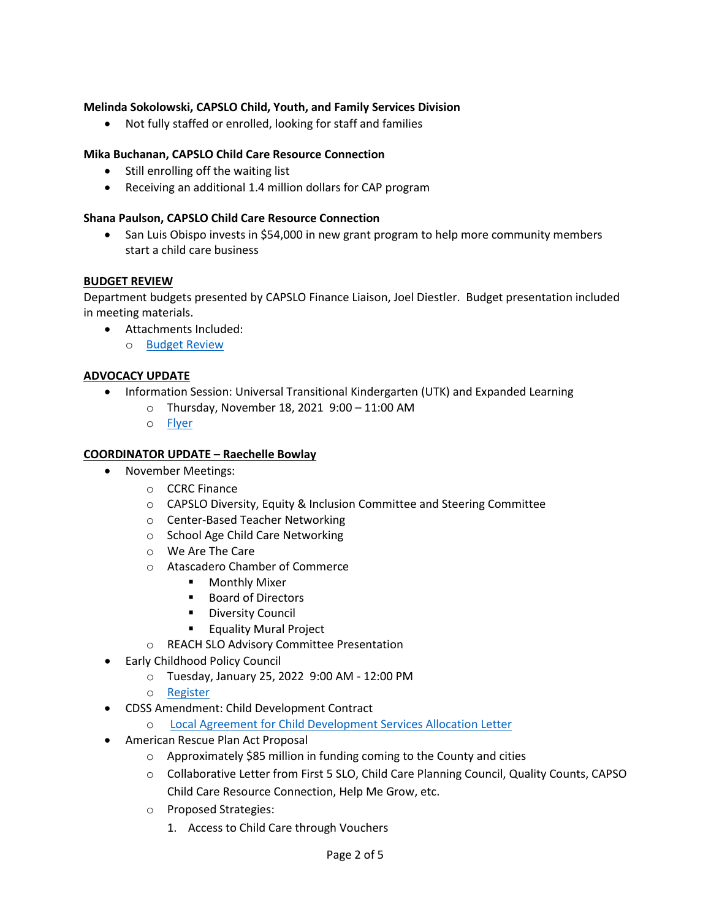# **Melinda Sokolowski, CAPSLO Child, Youth, and Family Services Division**

• Not fully staffed or enrolled, looking for staff and families

## **Mika Buchanan, CAPSLO Child Care Resource Connection**

- Still enrolling off the waiting list
- Receiving an additional 1.4 million dollars for CAP program

#### **Shana Paulson, CAPSLO Child Care Resource Connection**

• San Luis Obispo invests in \$54,000 in new grant program to help more community members start a child care business

#### **BUDGET REVIEW**

Department budgets presented by CAPSLO Finance Liaison, Joel Diestler. Budget presentation included in meeting materials.

- Attachments Included:
	- o [Budget Review](https://drive.google.com/file/d/1aWpNd9gKxq7non9N7u9KCJ8g5GXs3uxv/view?usp=sharing)

#### **ADVOCACY UPDATE**

- Information Session: Universal Transitional Kindergarten (UTK) and Expanded Learning
	- o Thursday, November 18, 2021 9:00 11:00 AM
	- o [Fly](https://drive.google.com/file/d/1pDMPKKy48jJKzdu2T44zqzmKGE5FvM8T/view?usp=sharing)er

#### **COORDINATOR UPDATE – Raechelle Bowlay**

- November Meetings:
	- o CCRC Finance
	- o CAPSLO Diversity, Equity & Inclusion Committee and Steering Committee
	- o Center-Based Teacher Networking
	- o School Age Child Care Networking
	- o We Are The Care
	- o Atascadero Chamber of Commerce
		- **•** Monthly Mixer
		- Board of Directors
		- **-** Diversity Council
		- **Equality Mural Project**
	- o REACH SLO Advisory Committee Presentation
- [Early](https://www.justinwinegrants.com/) Childhood Policy Council
	- o Tuesday, January 25, 2022 9:00 AM 12:00 PM
	- o [Register](https://wested.zoom.us/webinar/register/WN_H10D2FWTRde6O_ftrGhfEQ)
- CDSS Amendment: Child Development Contract

o Local Agreement [for Child Development Services Allocation Letter](https://drive.google.com/file/d/1UQojygEKDMFLr5nitoXSsPzwWXTCsuHd/view?usp=sharing)

- American Rescue Plan Act Proposal
	- o Approximately \$85 million in funding coming to the County and cities
	- o Collaborative Letter from First 5 SLO, Child Care Planning Council, Quality Counts, CAPSO Child Care Resource Connection, Help Me Grow, etc.
	- o Proposed Strategies:
		- 1. Access to Child Care through Vouchers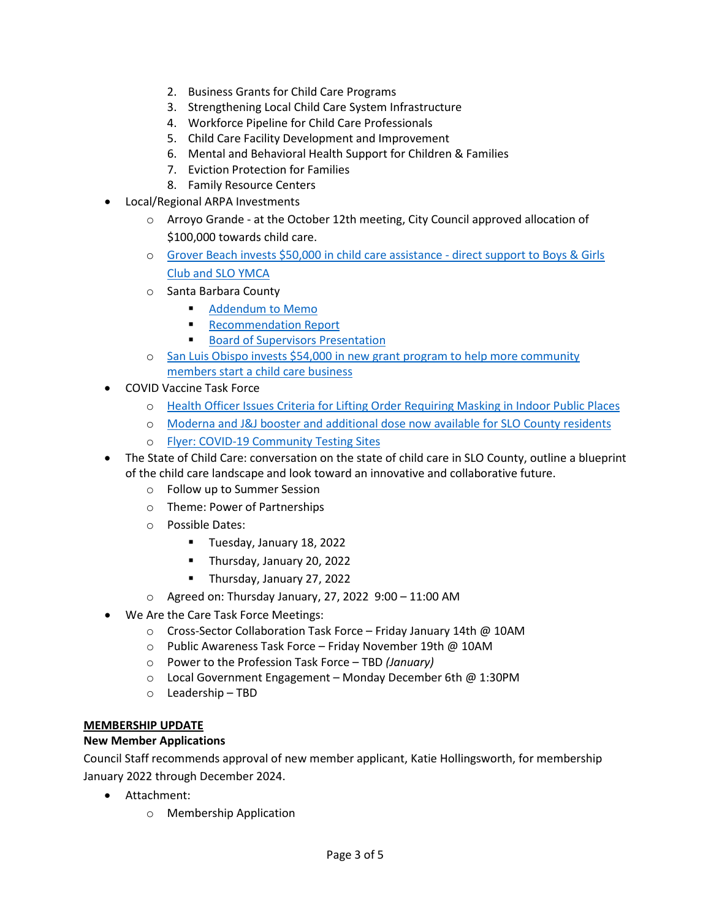- 2. Business Grants for Child Care Programs
- 3. Strengthening Local Child Care System Infrastructure
- 4. Workforce Pipeline for Child Care Professionals
- 5. Child Care Facility Development and Improvement
- 6. Mental and Behavioral Health Support for Children & Families
- 7. Eviction Protection for Families
- 8. Family Resource Centers
- Local/Regional ARPA Investments
	- o Arroyo Grande at the October 12th meeting, City Council approved allocation of \$100,000 towards child care.
	- o [Grover Beach invests \\$50,000 in child care assistance](https://www.newtimesslo.com/sanluisobispo/grover-beach-invests-50000-in-child-care-assistance/Content?oid=11628432&fbclid=IwAR1o6_3FSKtxiCARnsJrrnRvp_qGtaLfuW5tn8Q4O7tJRQPQrdCumtokvqA)  direct support to Boys & Girls [Club and SLO YMCA](https://www.newtimesslo.com/sanluisobispo/grover-beach-invests-50000-in-child-care-assistance/Content?oid=11628432&fbclid=IwAR1o6_3FSKtxiCARnsJrrnRvp_qGtaLfuW5tn8Q4O7tJRQPQrdCumtokvqA)
	- o Santa Barbara County
		- [Addendum to Memo](https://drive.google.com/file/d/19v54lwgle81hDgzBAnG4TixbOkNwYTC5/view?usp=sharing)
		- **[Recommendation Report](https://drive.google.com/file/d/1JBiySxW7NrnaDdfgTBX7T9xcYI0-jTCV/view?usp=sharing)**
		- **[Board of Supervisors Presentation](https://drive.google.com/file/d/12rSJF9_oynLLzCzvb-waLPSARuBISpa_/view?usp=sharing)**
	- o San Luis Obispo invests \$54,000 in new grant program to help more community [members start a child care business](https://www.slocity.org/Home/Components/News/News/8515/?utm_medium=email&utm_source=govdelivery)
- COVID Vaccine Task Force
	- o [Health Officer Issues Criteria for Lifting Order Requiring Masking in Indoor Public Places](https://drive.google.com/file/d/1_47QqLWv0e92n5-I9lxjNsnPmqvT9SWA/view?usp=sharing)
	- o Moderna and J&J [booster and additional dose now available for SLO County residents](https://www.slocounty.ca.gov/Departments/Health-Agency/Public-Health/Department-News/COVID-19-Updates/COVID-19-Vaccine-Updates/COVID-19-Vaccine-Boosters-Now-Available-to-More-Sa.aspx)
	- o Flyer: COVID-[19 Community Testing Sites](https://drive.google.com/file/d/1PCr26xLtiVzId9HnOEpZLKiobH-pWstS/view)
- The State of Child Care: conversation on the state of child care in SLO County, outline a blueprint of the child care landscape and look toward an innovative and collaborative future.
	- o Follow up to Summer Session
	- o Theme: Power of Partnerships
	- o Possible Dates:
		- **Tuesday, January 18, 2022**
		- **Thursday, January 20, 2022**
		- Thursday, January 27, 2022
	- $\circ$  Agreed on: Thursday January, 27, 2022 9:00 11:00 AM
- We Are the Care Task Force Meetings:
	- o Cross-Sector Collaboration Task Force Friday January 14th @ 10AM
	- o Public Awareness Task Force Friday November 19th @ 10AM
	- o Power to the Profession Task Force TBD *(January)*
	- o Local Government Engagement Monday December 6th @ 1:30PM
	- o Leadership TBD

#### **MEMBERSHIP UPDATE**

# **New Member Applications**

Council Staff recommends approval of new member applicant, Katie Hollingsworth, for membership January 2022 through December 2024.

- Attachment:
	- o Membership Application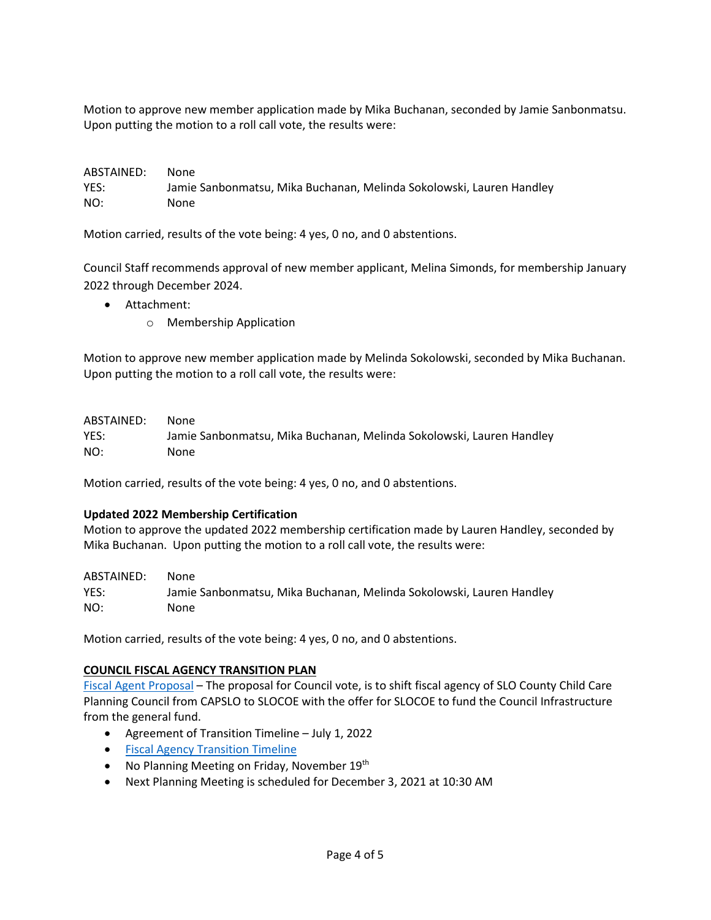Motion to approve new member application made by Mika Buchanan, seconded by Jamie Sanbonmatsu. Upon putting the motion to a roll call vote, the results were:

| ABSTAINED: | None                                                                 |
|------------|----------------------------------------------------------------------|
| YES:       | Jamie Sanbonmatsu, Mika Buchanan, Melinda Sokolowski, Lauren Handley |
| NO:        | None                                                                 |

Motion carried, results of the vote being: 4 yes, 0 no, and 0 abstentions.

Council Staff recommends approval of new member applicant, Melina Simonds, for membership January 2022 through December 2024.

- Attachment:
	- o Membership Application

Motion to approve new member application made by Melinda Sokolowski, seconded by Mika Buchanan. Upon putting the motion to a roll call vote, the results were:

| ABSTAINED: | None |
|------------|------|
|            |      |

YES: Jamie Sanbonmatsu, Mika Buchanan, Melinda Sokolowski, Lauren Handley NO: None

Motion carried, results of the vote being: 4 yes, 0 no, and 0 abstentions.

# **Updated 2022 Membership Certification**

Motion to approve the updated 2022 membership certification made by Lauren Handley, seconded by Mika Buchanan. Upon putting the motion to a roll call vote, the results were:

ABSTAINED: None YES: Jamie Sanbonmatsu, Mika Buchanan, Melinda Sokolowski, Lauren Handley NO: None

Motion carried, results of the vote being: 4 yes, 0 no, and 0 abstentions.

#### **COUNCIL FISCAL AGENCY TRANSITION PLAN**

[Fiscal Agent Proposal](https://www.canva.com/design/DAElsXtnHg8/hswHyWlKzttTOQbp55b_yg/view?utm_content=DAElsXtnHg8&utm_campaign=designshare&utm_medium=link&utm_source=publishsharelink) – The proposal for Council vote, is to shift fiscal agency of SLO County Child Care Planning Council from CAPSLO to SLOCOE with the offer for SLOCOE to fund the Council Infrastructure from the general fund.

- Agreement of Transition Timeline July 1, 2022
- [Fiscal Agency Transition Timeline](https://docs.google.com/document/d/18QGLBHfYy8R_X4f7GT9_Kptdrw7O-tLxDzTm3H1Q4zs/edit)
- No Planning Meeting on Friday, November 19<sup>th</sup>
- Next Planning Meeting is scheduled for December 3, 2021 at 10:30 AM